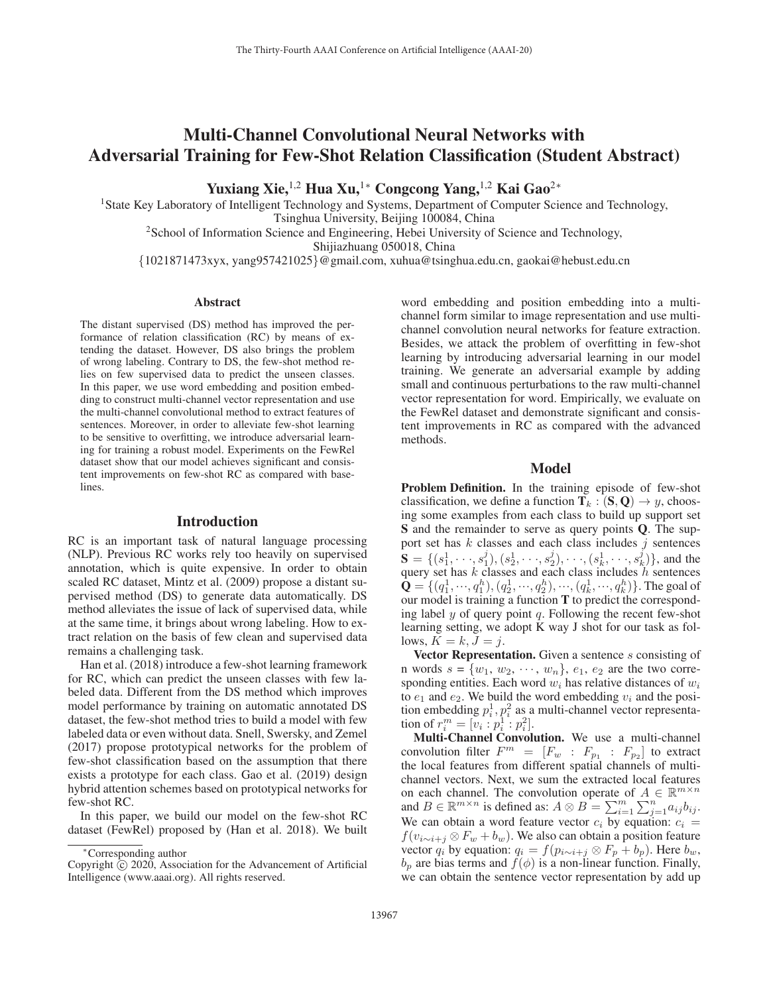# Multi-Channel Convolutional Neural Networks with Adversarial Training for Few-Shot Relation Classification (Student Abstract)

Yuxiang Xie,<sup>1,2</sup> Hua Xu,<sup>1</sup>\* Congcong Yang,<sup>1,2</sup> Kai Gao<sup>2</sup><sup>∗</sup>

<sup>1</sup>State Key Laboratory of Intelligent Technology and Systems, Department of Computer Science and Technology, Tsinghua University, Beijing 100084, China

<sup>2</sup>School of Information Science and Engineering, Hebei University of Science and Technology,

Shijiazhuang 050018, China

{1021871473xyx, yang957421025}@gmail.com, xuhua@tsinghua.edu.cn, gaokai@hebust.edu.cn

## **Abstract**

The distant supervised (DS) method has improved the performance of relation classification (RC) by means of extending the dataset. However, DS also brings the problem of wrong labeling. Contrary to DS, the few-shot method relies on few supervised data to predict the unseen classes. In this paper, we use word embedding and position embedding to construct multi-channel vector representation and use the multi-channel convolutional method to extract features of sentences. Moreover, in order to alleviate few-shot learning to be sensitive to overfitting, we introduce adversarial learning for training a robust model. Experiments on the FewRel dataset show that our model achieves significant and consistent improvements on few-shot RC as compared with base**lines**.

### Introduction

RC is an important task of natural language processing (NLP). Previous RC works rely too heavily on supervised annotation, which is quite expensive. In order to obtain scaled RC dataset, Mintz et al. (2009) propose a distant supervised method (DS) to generate data automatically. DS method alleviates the issue of lack of supervised data, while at the same time, it brings about wrong labeling. How to extract relation on the basis of few clean and supervised data remains a challenging task.

Han et al. (2018) introduce a few-shot learning framework for RC, which can predict the unseen classes with few labeled data. Different from the DS method which improves model performance by training on automatic annotated DS dataset, the few-shot method tries to build a model with few labeled data or even without data. Snell, Swersky, and Zemel (2017) propose prototypical networks for the problem of few-shot classification based on the assumption that there exists a prototype for each class. Gao et al. (2019) design hybrid attention schemes based on prototypical networks for few-shot RC.

In this paper, we build our model on the few-shot RC dataset (FewRel) proposed by (Han et al. 2018). We built

word embedding and position embedding into a multichannel form similar to image representation and use multichannel convolution neural networks for feature extraction. Besides, we attack the problem of overfitting in few-shot learning by introducing adversarial learning in our model training. We generate an adversarial example by adding small and continuous perturbations to the raw multi-channel vector representation for word. Empirically, we evaluate on the FewRel dataset and demonstrate significant and consistent improvements in RC as compared with the advanced methods.

## Model

Problem Definition. In the training episode of few-shot classification, we define a function  $T_k : (S, Q) \rightarrow y$ , choosing some examples from each class to build up support set S and the remainder to serve as query points Q. The support set has  $k$  classes and each class includes  $j$  sentences  $S = \{(s_1^1, \dots, s_1^j), (s_2^1, \dots, s_2^j), \dots, (s_k^1, \dots, s_k^j)\}\)$ , and the query set has k classes and each class includes h sentences  $\bar{\mathbf{Q}} = \{ (q_1^1, \dots, q_1^h), (q_2^1, \dots, q_2^h), \dots, (q_k^1, \dots, q_k^h) \}.$  The goal of our model is training a function **T** to predict the correspondour model is training a function T to predict the corresponding label  $y$  of query point  $q$ . Following the recent few-shot learning setting, we adopt K way J shot for our task as follows,  $K = k, J = j$ .

Vector Representation. Given a sentence s consisting of n words  $s = \{w_1, w_2, \dots, w_n\}$ ,  $e_1, e_2$  are the two corresponding entities. Each word  $w_i$  has relative distances of  $w_i$ to  $e_1$  and  $e_2$ . We build the word embedding  $v_i$  and the position embedding  $p_i^1, p_i^2$  as a multi-channel vector representation of  $r_i^m = [v_i : p_i^1 : p_i^2].$ <br>**Multi-Channel Convol** 

Multi-Channel Convolution. We use a multi-channel convolution filter  $F^m = [F_w : F_{p_1} : F_{p_2}]$  to extract<br>the local features from different spatial channels of multithe local features from different spatial channels of multichannel vectors. Next, we sum the extracted local features on each channel. The convolution operate of  $A \in \mathbb{R}^{m \times n}$ and  $B \in \mathbb{R}^{m \times n}$  is defined as:  $A \otimes B = \sum_{i=1}^{m} \sum_{j=1}^{n} a_{ij} b_{ij}$ .<br>We can obtain a word feature vector  $c_i$  by equation:  $c_i$ We can obtain a word feature vector  $c_i$  by equation:  $c_i$  =  $f(v_{i \sim i+j} \otimes F_w + b_w)$ . We also can obtain a position feature vector  $q_i$  by equation:  $q_i = f(p_{i \sim i+j} \otimes F_p + b_p)$ . Here  $b_w$ ,  $b_w$  are bias terms and  $f(\phi)$  is a non-linear function. Finally  $b_p$  are bias terms and  $f(\phi)$  is a non-linear function. Finally, we can obtain the sentence vector representation by add up we can obtain the sentence vector representation by add up

<sup>∗</sup>Corresponding author

Copyright  $\odot$  2020, Association for the Advancement of Artificial Intelligence (www.aaai.org). All rights reserved.